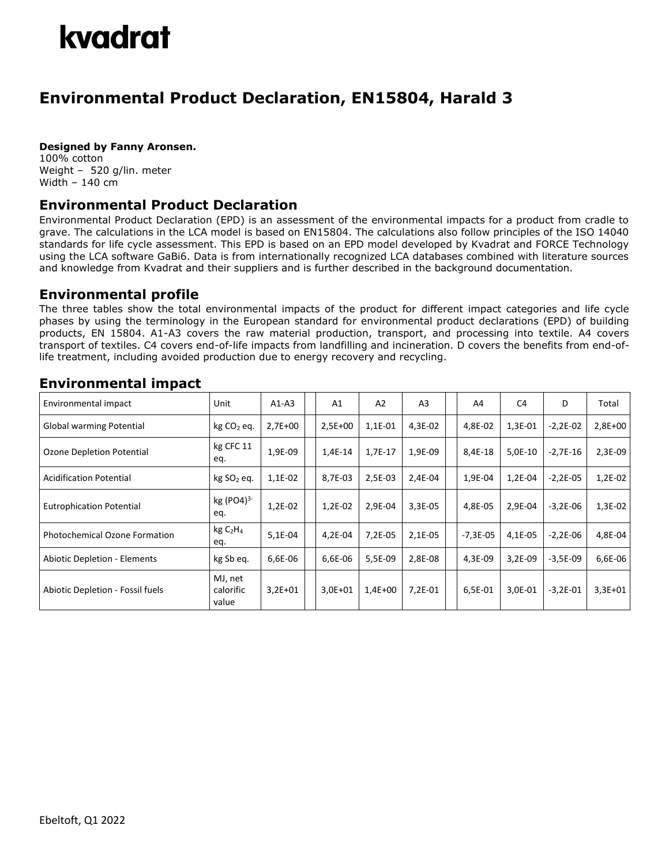# kvadrat

## **Environmental Product Declaration, EN15804, Harald 3**

#### **Designed by Fanny Aronsen.**

100% cotton Weight – 520 g/lin. meter Width – 140 cm

### **Environmental Product Declaration**

Environmental Product Declaration (EPD) is an assessment of the environmental impacts for a product from cradle to grave. The calculations in the LCA model is based on EN15804. The calculations also follow principles of the ISO 14040 standards for life cycle assessment. This EPD is based on an EPD model developed by Kvadrat and FORCE Technology using the LCA software GaBi6. Data is from internationally recognized LCA databases combined with literature sources and knowledge from Kvadrat and their suppliers and is further described in the background documentation.

#### **Environmental profile**

The three tables show the total environmental impacts of the product for different impact categories and life cycle phases by using the terminology in the European standard for environmental product declarations (EPD) of building products, EN 15804. A1-A3 covers the raw material production, transport, and processing into textile. A4 covers transport of textiles. C4 covers end-of-life impacts from landfilling and incineration. D covers the benefits from end-oflife treatment, including avoided production due to energy recovery and recycling.

#### Environmental impact  $\vert$  Unit  $\vert$  A1-A3  $\vert$  A1  $\vert$  A2  $\vert$  A3  $\vert$   $\vert$  A4  $\vert$  C4  $\vert$  D  $\vert$  Total Global warming Potential kg CO<sup>2</sup> eq. 2,7E+00 2,5E+00 1,1E-01 4,3E-02 4,8E-02 1,3E-01 -2,2E-02 2,8E+00 Ozone Depletion Potential kg CFC 11 eq. 1,9E-09 | | 1,4E-14 | 1,7E-17 | 1,9E-09 | | 8,4E-18 | 5,0E-10 | -2,7E-16 | 2,3E-09 Acidification Potential | kg SO<sub>2</sub> eq. | 1,1E-02 | | 8,7E-03 | 2,5E-03 | 2,4E-04 | | 1,9E-04 | -2,2E-04 | -2,2E-05 | 1,2E-02 Eutrophication Potential  $\begin{matrix} \text{kg (PO4)}^{3-1} \end{matrix}$ eq. 1,2E-02 1,2E-02 2,9E-04 3,3E-05 4,8E-05 2,9E-04 -3,2E-06 1,3E-02 Photochemical Ozone Formation  $\left[\begin{array}{cc} \text{kg C}_2\text{H}_4 \end{array}\right]$ eq. 5,1E-04 | | 4,2E-04 | 7,2E-05 | 2,1E-05 | | -7,3E-05 | 4,1E-05 | -2,2E-06 | 4,8E-04 Abiotic Depletion - Elements | kg Sb eq. | 6,6E-06 | 6,6E-06 | 5,5E-09 | 2,8E-08 | | 4,3E-09 | 3,2E-09 | -3,5E-09 | 6,6E-06 Abiotic Depletion - Fossil fuels MJ, net calorific value 3,2E+01 3,0E+01 1,4E+00 7,2E-01 6,5E-01 3,0E-01 -3,2E-01 3,3E+01

### **Environmental impact**